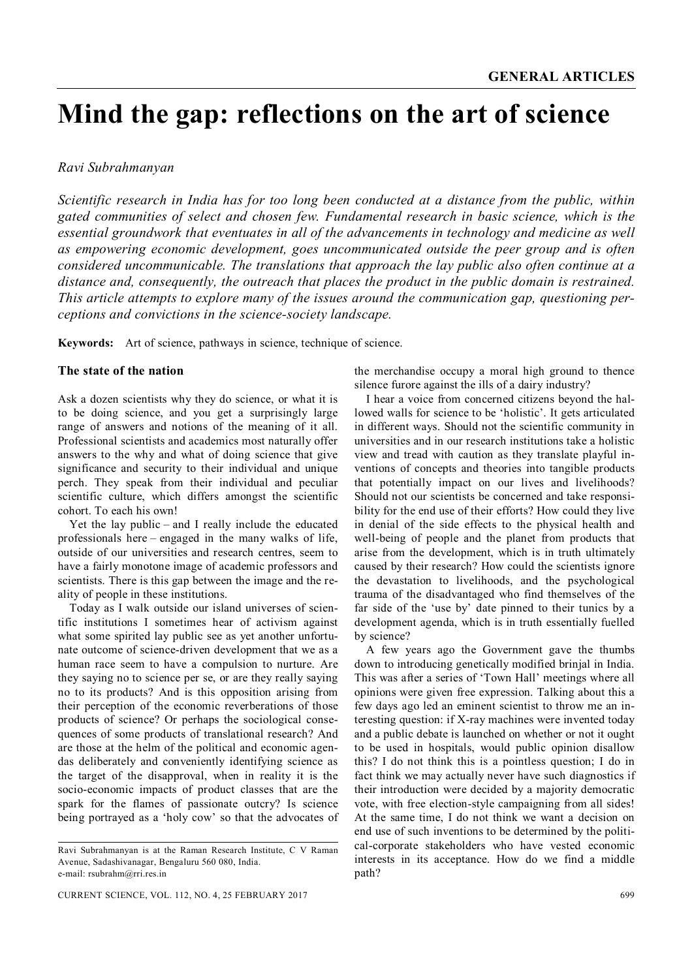# **Mind the gap: reflections on the art of science**

## *Ravi Subrahmanyan*

*Scientific research in India has for too long been conducted at a distance from the public, within gated communities of select and chosen few. Fundamental research in basic science, which is the essential groundwork that eventuates in all of the advancements in technology and medicine as well as empowering economic development, goes uncommunicated outside the peer group and is often considered uncommunicable. The translations that approach the lay public also often continue at a distance and, consequently, the outreach that places the product in the public domain is restrained. This article attempts to explore many of the issues around the communication gap, questioning perceptions and convictions in the science-society landscape.*

**Keywords:** Art of science, pathways in science, technique of science.

## **The state of the nation**

Ask a dozen scientists why they do science, or what it is to be doing science, and you get a surprisingly large range of answers and notions of the meaning of it all. Professional scientists and academics most naturally offer answers to the why and what of doing science that give significance and security to their individual and unique perch. They speak from their individual and peculiar scientific culture, which differs amongst the scientific cohort. To each his own!

Yet the lay public – and I really include the educated professionals here – engaged in the many walks of life, outside of our universities and research centres, seem to have a fairly monotone image of academic professors and scientists. There is this gap between the image and the reality of people in these institutions.

Today as I walk outside our island universes of scientific institutions I sometimes hear of activism against what some spirited lay public see as yet another unfortunate outcome of science-driven development that we as a human race seem to have a compulsion to nurture. Are they saying no to science per se, or are they really saying no to its products? And is this opposition arising from their perception of the economic reverberations of those products of science? Or perhaps the sociological consequences of some products of translational research? And are those at the helm of the political and economic agendas deliberately and conveniently identifying science as the target of the disapproval, when in reality it is the socio-economic impacts of product classes that are the spark for the flames of passionate outcry? Is science being portrayed as a 'holy cow' so that the advocates of the merchandise occupy a moral high ground to thence silence furore against the ills of a dairy industry?

I hear a voice from concerned citizens beyond the hallowed walls for science to be 'holistic'. It gets articulated in different ways. Should not the scientific community in universities and in our research institutions take a holistic view and tread with caution as they translate playful inventions of concepts and theories into tangible products that potentially impact on our lives and livelihoods? Should not our scientists be concerned and take responsibility for the end use of their efforts? How could they live in denial of the side effects to the physical health and well-being of people and the planet from products that arise from the development, which is in truth ultimately caused by their research? How could the scientists ignore the devastation to livelihoods, and the psychological trauma of the disadvantaged who find themselves of the far side of the 'use by' date pinned to their tunics by a development agenda, which is in truth essentially fuelled by science?

A few years ago the Government gave the thumbs down to introducing genetically modified brinjal in India. This was after a series of 'Town Hall' meetings where all opinions were given free expression. Talking about this a few days ago led an eminent scientist to throw me an interesting question: if X-ray machines were invented today and a public debate is launched on whether or not it ought to be used in hospitals, would public opinion disallow this? I do not think this is a pointless question; I do in fact think we may actually never have such diagnostics if their introduction were decided by a majority democratic vote, with free election-style campaigning from all sides! At the same time, I do not think we want a decision on end use of such inventions to be determined by the political-corporate stakeholders who have vested economic interests in its acceptance. How do we find a middle path?

Ravi Subrahmanyan is at the Raman Research Institute, C V Raman Avenue, Sadashivanagar, Bengaluru 560 080, India. e-mail: rsubrahm@rri.res.in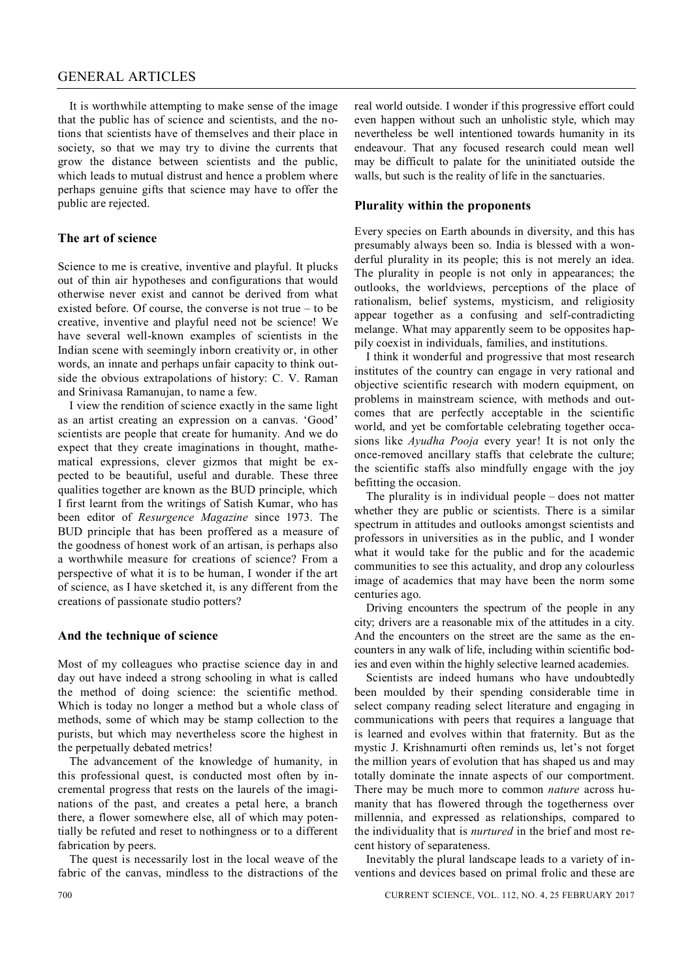# GENERAL ARTICLES

It is worthwhile attempting to make sense of the image that the public has of science and scientists, and the notions that scientists have of themselves and their place in society, so that we may try to divine the currents that grow the distance between scientists and the public, which leads to mutual distrust and hence a problem where perhaps genuine gifts that science may have to offer the public are rejected.

## **The art of science**

Science to me is creative, inventive and playful. It plucks out of thin air hypotheses and configurations that would otherwise never exist and cannot be derived from what existed before. Of course, the converse is not true – to be creative, inventive and playful need not be science! We have several well-known examples of scientists in the Indian scene with seemingly inborn creativity or, in other words, an innate and perhaps unfair capacity to think outside the obvious extrapolations of history: C. V. Raman and Srinivasa Ramanujan, to name a few.

I view the rendition of science exactly in the same light as an artist creating an expression on a canvas. 'Good' scientists are people that create for humanity. And we do expect that they create imaginations in thought, mathematical expressions, clever gizmos that might be expected to be beautiful, useful and durable. These three qualities together are known as the BUD principle, which I first learnt from the writings of Satish Kumar, who has been editor of *Resurgence Magazine* since 1973. The BUD principle that has been proffered as a measure of the goodness of honest work of an artisan, is perhaps also a worthwhile measure for creations of science? From a perspective of what it is to be human, I wonder if the art of science, as I have sketched it, is any different from the creations of passionate studio potters?

#### **And the technique of science**

Most of my colleagues who practise science day in and day out have indeed a strong schooling in what is called the method of doing science: the scientific method. Which is today no longer a method but a whole class of methods, some of which may be stamp collection to the purists, but which may nevertheless score the highest in the perpetually debated metrics!

The advancement of the knowledge of humanity, in this professional quest, is conducted most often by incremental progress that rests on the laurels of the imaginations of the past, and creates a petal here, a branch there, a flower somewhere else, all of which may potentially be refuted and reset to nothingness or to a different fabrication by peers.

The quest is necessarily lost in the local weave of the fabric of the canvas, mindless to the distractions of the real world outside. I wonder if this progressive effort could even happen without such an unholistic style, which may nevertheless be well intentioned towards humanity in its endeavour. That any focused research could mean well may be difficult to palate for the uninitiated outside the walls, but such is the reality of life in the sanctuaries.

#### **Plurality within the proponents**

Every species on Earth abounds in diversity, and this has presumably always been so. India is blessed with a wonderful plurality in its people; this is not merely an idea. The plurality in people is not only in appearances; the outlooks, the worldviews, perceptions of the place of rationalism, belief systems, mysticism, and religiosity appear together as a confusing and self-contradicting melange. What may apparently seem to be opposites happily coexist in individuals, families, and institutions.

I think it wonderful and progressive that most research institutes of the country can engage in very rational and objective scientific research with modern equipment, on problems in mainstream science, with methods and outcomes that are perfectly acceptable in the scientific world, and yet be comfortable celebrating together occasions like *Ayudha Pooja* every year! It is not only the once-removed ancillary staffs that celebrate the culture; the scientific staffs also mindfully engage with the joy befitting the occasion.

The plurality is in individual people – does not matter whether they are public or scientists. There is a similar spectrum in attitudes and outlooks amongst scientists and professors in universities as in the public, and I wonder what it would take for the public and for the academic communities to see this actuality, and drop any colourless image of academics that may have been the norm some centuries ago.

Driving encounters the spectrum of the people in any city; drivers are a reasonable mix of the attitudes in a city. And the encounters on the street are the same as the encounters in any walk of life, including within scientific bodies and even within the highly selective learned academies.

Scientists are indeed humans who have undoubtedly been moulded by their spending considerable time in select company reading select literature and engaging in communications with peers that requires a language that is learned and evolves within that fraternity. But as the mystic J. Krishnamurti often reminds us, let's not forget the million years of evolution that has shaped us and may totally dominate the innate aspects of our comportment. There may be much more to common *nature* across humanity that has flowered through the togetherness over millennia, and expressed as relationships, compared to the individuality that is *nurtured* in the brief and most recent history of separateness.

Inevitably the plural landscape leads to a variety of inventions and devices based on primal frolic and these are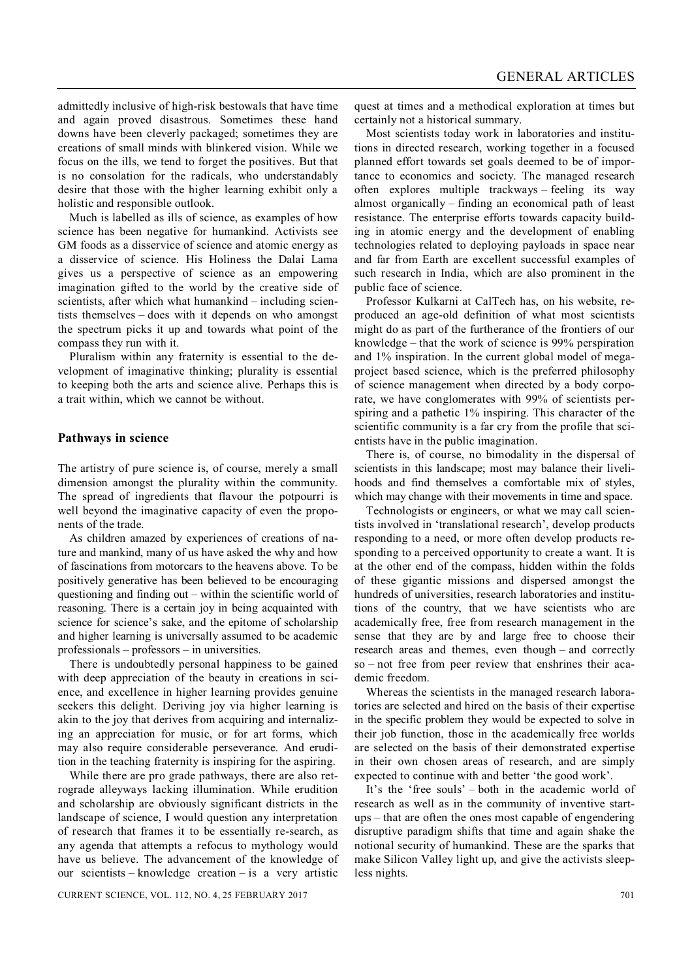admittedly inclusive of high-risk bestowals that have time and again proved disastrous. Sometimes these hand downs have been cleverly packaged; sometimes they are creations of small minds with blinkered vision. While we focus on the ills, we tend to forget the positives. But that is no consolation for the radicals, who understandably desire that those with the higher learning exhibit only a holistic and responsible outlook.

Much is labelled as ills of science, as examples of how science has been negative for humankind. Activists see GM foods as a disservice of science and atomic energy as a disservice of science. His Holiness the Dalai Lama gives us a perspective of science as an empowering imagination gifted to the world by the creative side of scientists, after which what humankind – including scientists themselves – does with it depends on who amongst the spectrum picks it up and towards what point of the compass they run with it.

Pluralism within any fraternity is essential to the development of imaginative thinking; plurality is essential to keeping both the arts and science alive. Perhaps this is a trait within, which we cannot be without.

# **Pathways in science**

The artistry of pure science is, of course, merely a small dimension amongst the plurality within the community. The spread of ingredients that flavour the potpourri is well beyond the imaginative capacity of even the proponents of the trade.

As children amazed by experiences of creations of nature and mankind, many of us have asked the why and how of fascinations from motorcars to the heavens above. To be positively generative has been believed to be encouraging questioning and finding out – within the scientific world of reasoning. There is a certain joy in being acquainted with science for science's sake, and the epitome of scholarship and higher learning is universally assumed to be academic professionals – professors – in universities.

There is undoubtedly personal happiness to be gained with deep appreciation of the beauty in creations in science, and excellence in higher learning provides genuine seekers this delight. Deriving joy via higher learning is akin to the joy that derives from acquiring and internalizing an appreciation for music, or for art forms, which may also require considerable perseverance. And erudition in the teaching fraternity is inspiring for the aspiring.

While there are pro grade pathways, there are also retrograde alleyways lacking illumination. While erudition and scholarship are obviously significant districts in the landscape of science, I would question any interpretation of research that frames it to be essentially re-search, as any agenda that attempts a refocus to mythology would have us believe. The advancement of the knowledge of our scientists – knowledge creation – is a very artistic

quest at times and a methodical exploration at times but certainly not a historical summary.

Most scientists today work in laboratories and institutions in directed research, working together in a focused planned effort towards set goals deemed to be of importance to economics and society. The managed research often explores multiple trackways – feeling its way almost organically – finding an economical path of least resistance. The enterprise efforts towards capacity building in atomic energy and the development of enabling technologies related to deploying payloads in space near and far from Earth are excellent successful examples of such research in India, which are also prominent in the public face of science.

Professor Kulkarni at CalTech has, on his website, reproduced an age-old definition of what most scientists might do as part of the furtherance of the frontiers of our knowledge – that the work of science is 99% perspiration and 1% inspiration. In the current global model of megaproject based science, which is the preferred philosophy of science management when directed by a body corporate, we have conglomerates with 99% of scientists perspiring and a pathetic 1% inspiring. This character of the scientific community is a far cry from the profile that scientists have in the public imagination.

There is, of course, no bimodality in the dispersal of scientists in this landscape; most may balance their livelihoods and find themselves a comfortable mix of styles, which may change with their movements in time and space.

Technologists or engineers, or what we may call scientists involved in 'translational research', develop products responding to a need, or more often develop products responding to a perceived opportunity to create a want. It is at the other end of the compass, hidden within the folds of these gigantic missions and dispersed amongst the hundreds of universities, research laboratories and institutions of the country, that we have scientists who are academically free, free from research management in the sense that they are by and large free to choose their research areas and themes, even though – and correctly so – not free from peer review that enshrines their academic freedom.

Whereas the scientists in the managed research laboratories are selected and hired on the basis of their expertise in the specific problem they would be expected to solve in their job function, those in the academically free worlds are selected on the basis of their demonstrated expertise in their own chosen areas of research, and are simply expected to continue with and better 'the good work'.

It's the 'free souls' – both in the academic world of research as well as in the community of inventive startups – that are often the ones most capable of engendering disruptive paradigm shifts that time and again shake the notional security of humankind. These are the sparks that make Silicon Valley light up, and give the activists sleepless nights.